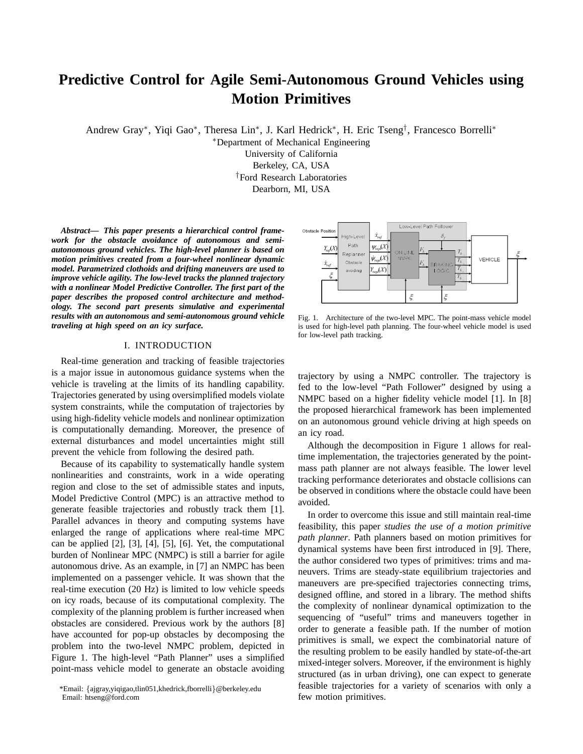# **Predictive Control for Agile Semi-Autonomous Ground Vehicles using Motion Primitives**

Andrew Gray\*, Yiqi Gao\*, Theresa Lin\*, J. Karl Hedrick\*, H. Eric Tseng<sup>†</sup>, Francesco Borrelli\*

<sup>∗</sup>Department of Mechanical Engineering

University of California

Berkeley, CA, USA

†Ford Research Laboratories

Dearborn, MI, USA

*Abstract***—** *This paper presents a hierarchical control framework for the obstacle avoidance of autonomous and semiautonomous ground vehicles. The high-level planner is based on motion primitives created from a four-wheel nonlinear dynamic model. Parametrized clothoids and drifting maneuvers are used to improve vehicle agility. The low-level tracks the planned trajectory with a nonlinear Model Predictive Controller. The first part of the paper describes the proposed control architecture and methodology. The second part presents simulative and experimental results with an autonomous and semi-autonomous ground vehicle traveling at high speed on an icy surface.*

# I. INTRODUCTION

Real-time generation and tracking of feasible trajectories is a major issue in autonomous guidance systems when the vehicle is traveling at the limits of its handling capability. Trajectories generated by using oversimplified models violate system constraints, while the computation of trajectories by using high-fidelity vehicle models and nonlinear optimization is computationally demanding. Moreover, the presence of external disturbances and model uncertainties might still prevent the vehicle from following the desired path.

Because of its capability to systematically handle system nonlinearities and constraints, work in a wide operating region and close to the set of admissible states and inputs, Model Predictive Control (MPC) is an attractive method to generate feasible trajectories and robustly track them [1]. Parallel advances in theory and computing systems have enlarged the range of applications where real-time MPC can be applied [2], [3], [4], [5], [6]. Yet, the computational burden of Nonlinear MPC (NMPC) is still a barrier for agile autonomous drive. As an example, in [7] an NMPC has been implemented on a passenger vehicle. It was shown that the real-time execution (20 Hz) is limited to low vehicle speeds on icy roads, because of its computational complexity. The complexity of the planning problem is further increased when obstacles are considered. Previous work by the authors [8] have accounted for pop-up obstacles by decomposing the problem into the two-level NMPC problem, depicted in Figure 1. The high-level "Path Planner" uses a simplified point-mass vehicle model to generate an obstacle avoiding



Fig. 1. Architecture of the two-level MPC. The point-mass vehicle model is used for high-level path planning. The four-wheel vehicle model is used for low-level path tracking.

trajectory by using a NMPC controller. The trajectory is fed to the low-level "Path Follower" designed by using a NMPC based on a higher fidelity vehicle model [1]. In [8] the proposed hierarchical framework has been implemented on an autonomous ground vehicle driving at high speeds on an icy road.

Although the decomposition in Figure 1 allows for realtime implementation, the trajectories generated by the pointmass path planner are not always feasible. The lower level tracking performance deteriorates and obstacle collisions can be observed in conditions where the obstacle could have been avoided.

In order to overcome this issue and still maintain real-time feasibility, this paper *studies the use of a motion primitive path planner*. Path planners based on motion primitives for dynamical systems have been first introduced in [9]. There, the author considered two types of primitives: trims and maneuvers. Trims are steady-state equilibrium trajectories and maneuvers are pre-specified trajectories connecting trims, designed offline, and stored in a library. The method shifts the complexity of nonlinear dynamical optimization to the sequencing of "useful" trims and maneuvers together in order to generate a feasible path. If the number of motion primitives is small, we expect the combinatorial nature of the resulting problem to be easily handled by state-of-the-art mixed-integer solvers. Moreover, if the environment is highly structured (as in urban driving), one can expect to generate feasible trajectories for a variety of scenarios with only a few motion primitives.

<sup>\*</sup>Email: {ajgray,yiqigao,tlin051,khedrick,fborrelli}@berkeley.edu Email: htseng@ford.com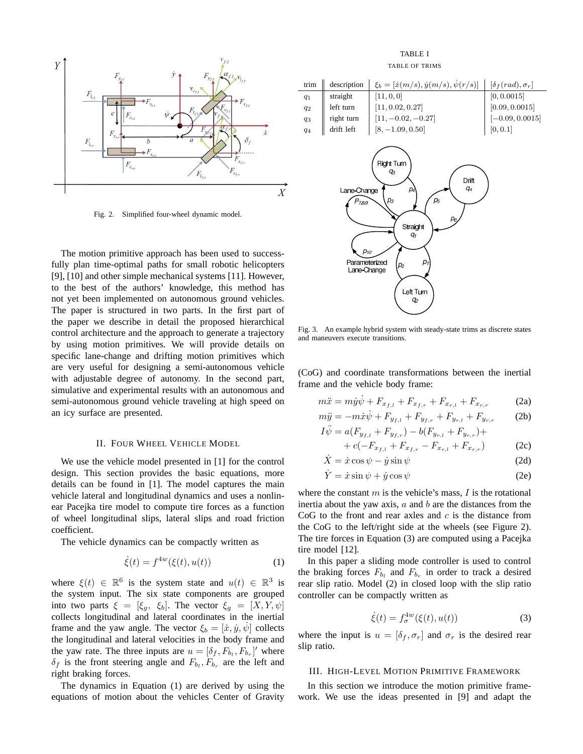

Fig. 2. Simplified four-wheel dynamic model.

The motion primitive approach has been used to successfully plan time-optimal paths for small robotic helicopters [9], [10] and other simple mechanical systems [11]. However, to the best of the authors' knowledge, this method has not yet been implemented on autonomous ground vehicles. The paper is structured in two parts. In the first part of the paper we describe in detail the proposed hierarchical control architecture and the approach to generate a trajectory by using motion primitives. We will provide details on specific lane-change and drifting motion primitives which are very useful for designing a semi-autonomous vehicle with adjustable degree of autonomy. In the second part, simulative and experimental results with an autonomous and semi-autonomous ground vehicle traveling at high speed on an icy surface are presented.

#### II. FOUR WHEEL VEHICLE MODEL

We use the vehicle model presented in [1] for the control design. This section provides the basic equations, more details can be found in [1]. The model captures the main vehicle lateral and longitudinal dynamics and uses a nonlinear Pacejka tire model to compute tire forces as a function of wheel longitudinal slips, lateral slips and road friction coefficient.

The vehicle dynamics can be compactly written as

$$
\dot{\xi}(t) = f^{4w}(\xi(t), u(t))
$$
 (1)

where  $\xi(t) \in \mathbb{R}^6$  is the system state and  $u(t) \in \mathbb{R}^3$  is the system input. The six state components are grouped into two parts  $\xi = [\xi_g, \xi_b]$ . The vector  $\xi_g = [X, Y, \psi]$ collects longitudinal and lateral coordinates in the inertial frame and the yaw angle. The vector  $\xi_b = [\dot{x}, \dot{y}, \dot{\psi}]$  collects the longitudinal and lateral velocities in the body frame and the yaw rate. The three inputs are  $u = [\delta_f, F_{b_t}, F_{b_r}]'$  where  $\delta_f$  is the front steering angle and  $F_{b_l}, F_{b_r}$  are the left and right braking forces.

The dynamics in Equation (1) are derived by using the equations of motion about the vehicles Center of Gravity

TABLE I TABLE OF TRIMS

| trim                                                                                                                                                                                                                                   | description | $\xi_b = [\dot{x}(m/s), \dot{y}(m/s), \dot{\psi}(r/s)]$ | $[\delta_f(rad),\sigma_r]$ |  |  |  |  |  |  |
|----------------------------------------------------------------------------------------------------------------------------------------------------------------------------------------------------------------------------------------|-------------|---------------------------------------------------------|----------------------------|--|--|--|--|--|--|
| $q_1$                                                                                                                                                                                                                                  | straight    | [11, 0, 0]                                              | [0, 0.0015]                |  |  |  |  |  |  |
| $q_2$                                                                                                                                                                                                                                  | left turn   | [11, 0.02, 0.27]                                        | [0.09, 0.0015]             |  |  |  |  |  |  |
| $q_3$                                                                                                                                                                                                                                  | right turn  | $[11, -0.02, -0.27]$                                    | $[-0.09, 0.0015]$          |  |  |  |  |  |  |
| $q_4$                                                                                                                                                                                                                                  | drift left  | $[8, -1.09, 0.50]$                                      | [0, 0.1]                   |  |  |  |  |  |  |
| Right Turn<br>qз<br>Drift<br>q4<br>$p_4$<br>Lane-Change<br>$p_3$<br>p <sub>5</sub><br>P <sub>7,8,9</sub><br>p <sub>6</sub><br>Straight<br>q,<br>$p_{10}$<br>Parameterized<br>p,<br>p <sub>2</sub><br>Lane-Change<br>Left Turn<br>$q_2$ |             |                                                         |                            |  |  |  |  |  |  |

Fig. 3. An example hybrid system with steady-state trims as discrete states and maneuvers execute transitions.

(CoG) and coordinate transformations between the inertial frame and the vehicle body frame:

$$
m\ddot{x} = m\dot{y}\dot{\psi} + F_{x_{f,l}} + F_{x_{f,r}} + F_{x_{r,l}} + F_{x_{r,r}} \tag{2a}
$$

$$
m\ddot{y} = -m\dot{x}\dot{\psi} + F_{y_{f,l}} + F_{y_{f,r}} + F_{y_{r,l}} + F_{y_{r,r}} \tag{2b}
$$

$$
I\ddot{\psi} = a(F_{y_{f,l}} + F_{y_{f,r}}) - b(F_{y_{r,l}} + F_{y_{r,r}}) ++ c(-F_{x_{f,l}} + F_{x_{f,r}} - F_{x_{r,l}} + F_{x_{r,r}})
$$
(2c)

$$
\dot{X} = \dot{x}\cos\psi - \dot{y}\sin\psi
$$
 (2d)

$$
\dot{Y} = \dot{x}\sin\psi + \dot{y}\cos\psi\tag{2e}
$$

where the constant  $m$  is the vehicle's mass,  $I$  is the rotational inertia about the yaw axis,  $a$  and  $b$  are the distances from the CoG to the front and rear axles and  $c$  is the distance from the CoG to the left/right side at the wheels (see Figure 2). The tire forces in Equation (3) are computed using a Pacejka tire model [12].

In this paper a sliding mode controller is used to control the braking forces  $F_{b_l}$  and  $F_{b_r}$  in order to track a desired rear slip ratio. Model (2) in closed loop with the slip ratio controller can be compactly written as

$$
\dot{\xi}(t) = f_{\sigma}^{4w}(\xi(t), u(t))\tag{3}
$$

where the input is  $u = [\delta_f, \sigma_r]$  and  $\sigma_r$  is the desired rear slip ratio.

#### III. HIGH-LEVEL MOTION PRIMITIVE FRAMEWORK

In this section we introduce the motion primitive framework. We use the ideas presented in [9] and adapt the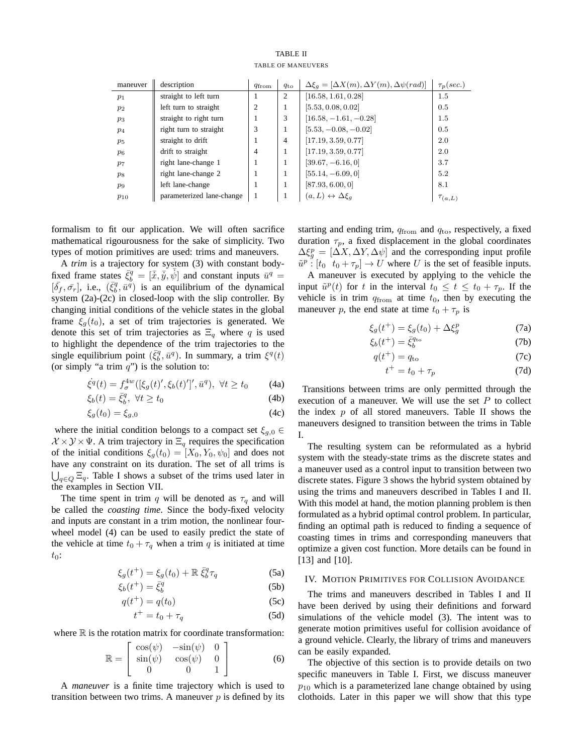| <b>TABLE II</b> |                    |  |  |  |  |  |  |  |  |
|-----------------|--------------------|--|--|--|--|--|--|--|--|
|                 | TABLE OF MANEUVERS |  |  |  |  |  |  |  |  |

| maneuver       | description               | $q_{\text{from}}$ | $q_{\rm to}$   | $\Delta \xi_a = [\Delta X(m), \Delta Y(m), \Delta \psi (rad)]$ | $\tau_p(sec.)$ |
|----------------|---------------------------|-------------------|----------------|----------------------------------------------------------------|----------------|
| $p_1$          | straight to left turn     |                   | 2              | [16.58, 1.61, 0.28]                                            | 1.5            |
| $p_2$          | left turn to straight     | 2                 |                | [5.53, 0.08, 0.02]                                             | 0.5            |
| $p_3$          | straight to right turn    |                   | 3              | $[16.58, -1.61, -0.28]$                                        | 1.5            |
| $p_4$          | right turn to straight    | 3                 | л.             | $[5.53, -0.08, -0.02]$                                         | 0.5            |
| $p_5$          | straight to drift         |                   | $\overline{4}$ | [17.19, 3.59, 0.77]                                            | 2.0            |
| $p_6$          | drift to straight         | $\overline{4}$    | 1              | [17.19, 3.59, 0.77]                                            | 2.0            |
| p <sub>7</sub> | right lane-change 1       |                   |                | $[39.67, -6.16, 0]$                                            | 3.7            |
| $p_8$          | right lane-change 2       |                   | л.             | $[55.14, -6.09, 0]$                                            | 5.2            |
| $p_9$          | left lane-change          |                   | 1              | [87.93, 6.00, 0]                                               | 8.1            |
| $p_{10}$       | parameterized lane-change |                   |                | $(a, L) \leftrightarrow \Delta \xi_a$                          | $\tau_{(a,L)}$ |

formalism to fit our application. We will often sacrifice mathematical rigourousness for the sake of simplicity. Two types of motion primitives are used: trims and maneuvers.

A *trim* is a trajectory for system (3) with constant bodyfixed frame states  $\bar{\xi}_b^q = [\bar{x}, \bar{y}, \bar{\psi}]$  and constant inputs  $\bar{u}^q =$  $[\bar{\delta}_f, \bar{\sigma}_r]$ , i.e.,  $(\bar{\xi}_b^q, \bar{u}^q)$  is an equilibrium of the dynamical system (2a)-(2c) in closed-loop with the slip controller. By changing initial conditions of the vehicle states in the global frame  $\xi_q(t_0)$ , a set of trim trajectories is generated. We denote this set of trim trajectories as  $\Xi_q$  where q is used to highlight the dependence of the trim trajectories to the single equilibrium point  $(\bar{\xi}_b^q, \bar{u}^q)$ . In summary, a trim  $\xi^q(t)$ (or simply "a trim  $q$ ") is the solution to:

$$
\dot{\xi}^{q}(t) = f_{\sigma}^{4w}([\xi_{g}(t)', \xi_{b}(t)']', \bar{u}^{q}), \ \forall t \ge t_{0}
$$
 (4a)

$$
\xi_b(t) = \bar{\xi}_b^q, \ \forall t \ge t_0 \tag{4b}
$$

$$
\xi_g(t_0) = \xi_{g,0} \tag{4c}
$$

where the initial condition belongs to a compact set  $\xi_{g,0}$  $X \times Y \times \Psi$ . A trim trajectory in  $\Xi_q$  requires the specification of the initial conditions  $\xi_g(t_0) = [X_0, Y_0, \psi_0]$  and does not have any constraint on its duration. The set of all trims is  $\bigcup_{q \in Q} \Xi_q$ . Table I shows a subset of the trims used later in the examples in Section VII.

The time spent in trim q will be denoted as  $\tau_q$  and will be called the *coasting time*. Since the body-fixed velocity and inputs are constant in a trim motion, the nonlinear fourwheel model (4) can be used to easily predict the state of the vehicle at time  $t_0 + \tau_q$  when a trim q is initiated at time  $t_0$ :

$$
\xi_g(t^+) = \xi_g(t_0) + \mathbb{R}\,\bar{\xi}_b^q \tau_q \tag{5a}
$$

$$
\xi_b(t^+) = \bar{\xi}_b^q \tag{5b}
$$

$$
q(t^+) = q(t_0) \tag{5c}
$$

$$
t^+ = t_0 + \tau_q \tag{5d}
$$

where  $\mathbb R$  is the rotation matrix for coordinate transformation:

$$
\mathbb{R} = \left[ \begin{array}{cc} \cos(\psi) & -\sin(\psi) & 0\\ \sin(\psi) & \cos(\psi) & 0\\ 0 & 0 & 1 \end{array} \right] \tag{6}
$$

A *maneuver* is a finite time trajectory which is used to transition between two trims. A maneuver  $p$  is defined by its starting and ending trim,  $q_{\text{from}}$  and  $q_{\text{to}}$ , respectively, a fixed duration  $\tau_p$ , a fixed displacement in the global coordinates  $\Delta \xi_g^p = [\Delta X, \Delta Y, \Delta \psi]$  and the corresponding input profile  $\tilde{u}^p$ :  $[t_0 \ t_0 + \tau_p] \rightarrow U$  where U is the set of feasible inputs.

A maneuver is executed by applying to the vehicle the input  $\tilde{u}^p(t)$  for t in the interval  $t_0 \leq t \leq t_0 + \tau_p$ . If the vehicle is in trim  $q_{from}$  at time  $t_0$ , then by executing the maneuver p, the end state at time  $t_0 + \tau_p$  is

$$
\xi_g(t^+) = \xi_g(t_0) + \Delta \xi_g^p \tag{7a}
$$

$$
\xi_b(t^+) = \bar{\xi}_b^{q_{\text{to}}} \tag{7b}
$$

$$
q(t^+) = q_{\text{to}} \tag{7c}
$$

$$
t^+ = t_0 + \tau_p \tag{7d}
$$

Transitions between trims are only permitted through the execution of a maneuver. We will use the set  $P$  to collect the index  $p$  of all stored maneuvers. Table II shows the maneuvers designed to transition between the trims in Table I.

The resulting system can be reformulated as a hybrid system with the steady-state trims as the discrete states and a maneuver used as a control input to transition between two discrete states. Figure 3 shows the hybrid system obtained by using the trims and maneuvers described in Tables I and II. With this model at hand, the motion planning problem is then formulated as a hybrid optimal control problem. In particular, finding an optimal path is reduced to finding a sequence of coasting times in trims and corresponding maneuvers that optimize a given cost function. More details can be found in [13] and [10].

### IV. MOTION PRIMITIVES FOR COLLISION AVOIDANCE

The trims and maneuvers described in Tables I and II have been derived by using their definitions and forward simulations of the vehicle model (3). The intent was to generate motion primitives useful for collision avoidance of a ground vehicle. Clearly, the library of trims and maneuvers can be easily expanded.

The objective of this section is to provide details on two specific maneuvers in Table I. First, we discuss maneuver  $p_{10}$  which is a parameterized lane change obtained by using clothoids. Later in this paper we will show that this type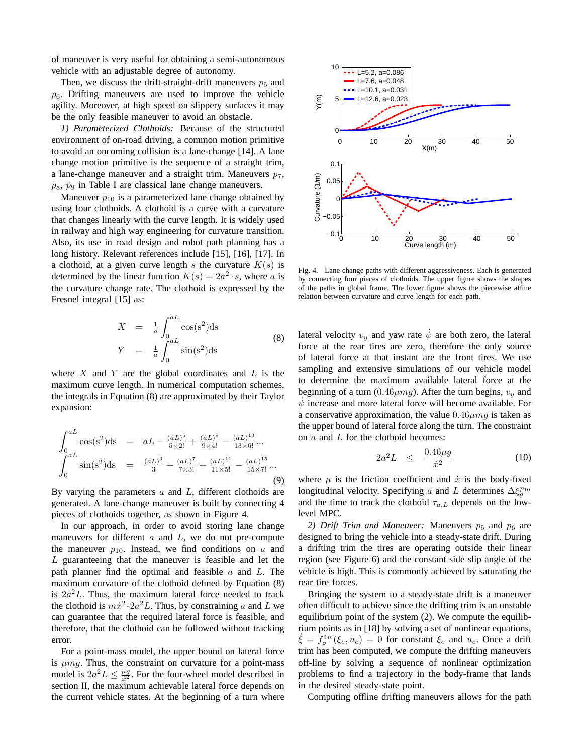of maneuver is very useful for obtaining a semi-autonomous vehicle with an adjustable degree of autonomy.

Then, we discuss the drift-straight-drift maneuvers  $p_5$  and  $p_6$ . Drifting maneuvers are used to improve the vehicle agility. Moreover, at high speed on slippery surfaces it may be the only feasible maneuver to avoid an obstacle.

*1) Parameterized Clothoids:* Because of the structured environment of on-road driving, a common motion primitive to avoid an oncoming collision is a lane-change [14]. A lane change motion primitive is the sequence of a straight trim, a lane-change maneuver and a straight trim. Maneuvers  $p_7$ ,  $p_8$ ,  $p_9$  in Table I are classical lane change maneuvers.

Maneuver  $p_{10}$  is a parameterized lane change obtained by using four clothoids. A clothoid is a curve with a curvature that changes linearly with the curve length. It is widely used in railway and high way engineering for curvature transition. Also, its use in road design and robot path planning has a long history. Relevant references include [15], [16], [17]. In a clothoid, at a given curve length s the curvature  $K(s)$  is determined by the linear function  $K(s) = 2a^2 \cdot s$ , where a is the curvature change rate. The clothoid is expressed by the Fresnel integral [15] as:

$$
X = \frac{1}{a} \int_0^{aL} \cos(s^2) \, \mathrm{d}s
$$
\n
$$
Y = \frac{1}{a} \int_0^{aL} \sin(s^2) \, \mathrm{d}s
$$
\n(8)

where  $X$  and  $Y$  are the global coordinates and  $L$  is the maximum curve length. In numerical computation schemes, the integrals in Equation (8) are approximated by their Taylor expansion:

$$
\int_{0}^{aL} \cos(s^2) \, \mathrm{d}s = aL - \frac{(aL)^5}{5 \times 2!} + \frac{(aL)^9}{9 \times 4!} - \frac{(aL)^{13}}{13 \times 6!} \cdots
$$
\n
$$
\int_{0}^{aL} \sin(s^2) \, \mathrm{d}s = \frac{(aL)^3}{3} - \frac{(aL)^7}{7 \times 3!} + \frac{(aL)^{11}}{11 \times 5!} - \frac{(aL)^{15}}{15 \times 7!} \cdots \tag{9}
$$

By varying the parameters  $a$  and  $L$ , different clothoids are generated. A lane-change maneuver is built by connecting 4 pieces of clothoids together, as shown in Figure 4.

In our approach, in order to avoid storing lane change maneuvers for different  $a$  and  $L$ , we do not pre-compute the maneuver  $p_{10}$ . Instead, we find conditions on a and L guaranteeing that the maneuver is feasible and let the path planner find the optimal and feasible  $a$  and  $L$ . The maximum curvature of the clothoid defined by Equation (8) is  $2a^2L$ . Thus, the maximum lateral force needed to track the clothoid is  $m\dot{x}^2 \cdot 2a^2L$ . Thus, by constraining a and L we can guarantee that the required lateral force is feasible, and therefore, that the clothoid can be followed without tracking error.

For a point-mass model, the upper bound on lateral force is  $\mu$ mq. Thus, the constraint on curvature for a point-mass model is  $2a^2L \leq \frac{\mu g}{x^2}$ . For the four-wheel model described in section II, the maximum achievable lateral force depends on the current vehicle states. At the beginning of a turn where



Fig. 4. Lane change paths with different aggressiveness. Each is generated by connecting four pieces of clothoids. The upper figure shows the shapes of the paths in global frame. The lower figure shows the piecewise affine relation between curvature and curve length for each path.

lateral velocity  $v_y$  and yaw rate  $\dot{\psi}$  are both zero, the lateral force at the rear tires are zero, therefore the only source of lateral force at that instant are the front tires. We use sampling and extensive simulations of our vehicle model to determine the maximum available lateral force at the beginning of a turn (0.46 $\mu$ mg). After the turn begins,  $v_y$  and  $\dot{\psi}$  increase and more lateral force will become available. For a conservative approximation, the value  $0.46 \mu mq$  is taken as the upper bound of lateral force along the turn. The constraint on a and L for the clothoid becomes:

$$
2a^2L \quad \leq \quad \frac{0.46\mu g}{\dot{x}^2} \tag{10}
$$

where  $\mu$  is the friction coefficient and  $\dot{x}$  is the body-fixed longitudinal velocity. Specifying a and L determines  $\Delta \xi_g^{p_{10}}$ and the time to track the clothoid  $\tau_{a,L}$  depends on the lowlevel MPC.

2) Drift Trim and Maneuver: Maneuvers  $p_5$  and  $p_6$  are designed to bring the vehicle into a steady-state drift. During a drifting trim the tires are operating outside their linear region (see Figure 6) and the constant side slip angle of the vehicle is high. This is commonly achieved by saturating the rear tire forces.

Bringing the system to a steady-state drift is a maneuver often difficult to achieve since the drifting trim is an unstable equilibrium point of the system (2). We compute the equilibrium points as in [18] by solving a set of nonlinear equations,  $\dot{\xi} = \hat{f}_{\sigma}^{4w}(\xi_e, u_e) = 0$  for constant  $\xi_e$  and  $u_e$ . Once a drift trim has been computed, we compute the drifting maneuvers off-line by solving a sequence of nonlinear optimization problems to find a trajectory in the body-frame that lands in the desired steady-state point.

Computing offline drifting maneuvers allows for the path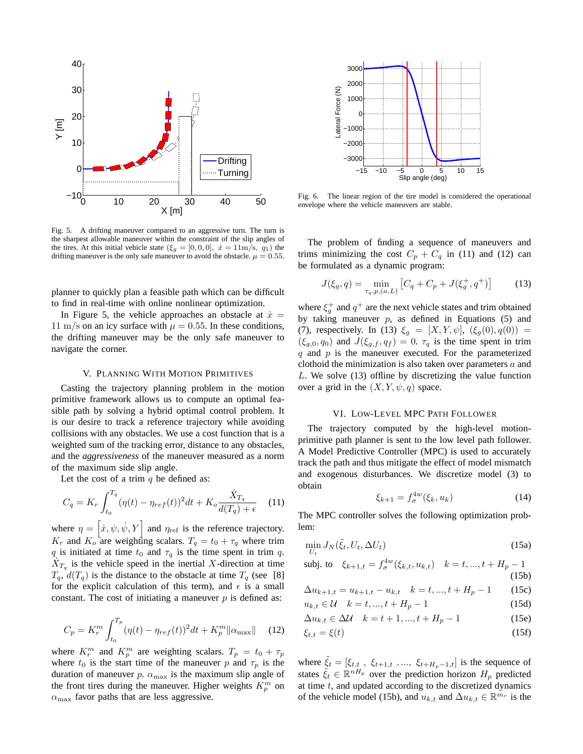

Fig. 5. A drifting maneuver compared to an aggressive turn. The turn is the sharpest allowable maneuver within the constraint of the slip angles of the tires. At this initial vehicle state  $(\xi_g = [0, 0, 0], \dot{x} = 11 \text{m/s}, q_1)$  the drifting maneuver is the only safe maneuver to avoid the obstacle.  $\mu = 0.55$ .

planner to quickly plan a feasible path which can be difficult to find in real-time with online nonlinear optimization.

In Figure 5, the vehicle approaches an obstacle at  $\dot{x} =$ 11 m/s on an icy surface with  $\mu = 0.55$ . In these conditions, the drifting maneuver may be the only safe maneuver to navigate the corner.

#### V. PLANNING WITH MOTION PRIMITIVES

Casting the trajectory planning problem in the motion primitive framework allows us to compute an optimal feasible path by solving a hybrid optimal control problem. It is our desire to track a reference trajectory while avoiding collisions with any obstacles. We use a cost function that is a weighted sum of the tracking error, distance to any obstacles, and the *aggressiveness* of the maneuver measured as a norm of the maximum side slip angle.

Let the cost of a trim  $q$  be defined as:

$$
C_q = K_r \int_{t_0}^{T_q} (\eta(t) - \eta_{ref}(t))^2 dt + K_o \frac{\dot{X}_{T_q}}{d(T_q) + \epsilon} \tag{11}
$$

where  $\eta = [\dot{x}, \psi, \dot{\psi}, Y]$  and  $\eta_{ref}$  is the reference trajectory.  $K_r$  and  $K_o$  are weighting scalars.  $T_q = t_0 + \tau_q$  where trim q is initiated at time  $t_0$  and  $\tau_q$  is the time spent in trim q.  $\dot{X}_{T_q}$  is the vehicle speed in the inertial X-direction at time  $T_q$ ,  $d(T_q)$  is the distance to the obstacle at time  $T_q$  (see [8] for the explicit calculation of this term), and  $\epsilon$  is a small constant. The cost of initiating a maneuver  $p$  is defined as:

$$
C_p = K_r^m \int_{t_0}^{T_p} (\eta(t) - \eta_{ref}(t))^2 dt + K_p^m ||\alpha_{\text{max}}|| \quad (12)
$$

where  $K_r^m$  and  $K_p^m$  are weighting scalars.  $T_p = t_0 + \tau_p$ where  $t_0$  is the start time of the maneuver p and  $\tau_p$  is the duration of maneuver p.  $\alpha_{\text{max}}$  is the maximum slip angle of the front tires during the maneuver. Higher weights  $K_p^m$  on  $\alpha_{\text{max}}$  favor paths that are less aggressive.



Fig. 6. The linear region of the tire model is considered the operational envelope where the vehicle maneuvers are stable.

The problem of finding a sequence of maneuvers and trims minimizing the cost  $C_p + C_q$  in (11) and (12) can be formulated as a dynamic program:

$$
J(\xi_g, q) = \min_{\tau_q, p, (a, L)} \left[ C_q + C_p + J(\xi_g^+, q^+) \right] \tag{13}
$$

where  $\xi_g^+$  and  $q^+$  are the next vehicle states and trim obtained by taking maneuver  $p$ , as defined in Equations (5) and (7), respectively. In (13)  $\xi_g = [X, Y, \psi], (\xi_g(0), q(0)) =$  $(\xi_{g,0}, q_0)$  and  $J(\xi_{g,f}, q_f) = 0$ .  $\tau_q$  is the time spent in trim  $q$  and  $p$  is the maneuver executed. For the parameterized clothoid the minimization is also taken over parameters  $a$  and L. We solve (13) offline by discretizing the value function over a grid in the  $(X, Y, \psi, q)$  space.

#### VI. LOW-LEVEL MPC PATH FOLLOWER

The trajectory computed by the high-level motionprimitive path planner is sent to the low level path follower. A Model Predictive Controller (MPC) is used to accurately track the path and thus mitigate the effect of model mismatch and exogenous disturbances. We discretize model (3) to obtain

$$
\xi_{k+1} = f_{\sigma}^{4w}(\xi_k, u_k)
$$
 (14)

The MPC controller solves the following optimization problem:

$$
\min_{U_t} J_N(\tilde{\xi}_t, U_t, \Delta U_t) \tag{15a}
$$

$$
\text{subj. to} \quad \xi_{k+1,t} = f_{\sigma}^{4w}(\xi_{k,t}, u_{k,t}) \quad k = t, ..., t + H_p - 1 \tag{15b}
$$

$$
\Delta u_{k+1,t} = u_{k+1,t} - u_{k,t} \quad k = t, ..., t + H_p - 1 \tag{15c}
$$

$$
u_{k,t} \in \mathcal{U} \quad k = t, ..., t + H_p - 1 \tag{15d}
$$

$$
\Delta u_{k,t} \in \Delta \mathcal{U} \quad k = t+1, ..., t+H_p-1 \tag{15e}
$$

$$
\xi_{t,t} = \xi(t) \tag{15f}
$$

where  $\xi_t = [\xi_{t,t}, \xi_{t+1,t}, \dots, \xi_{t+H_p-1,t}]$  is the sequence of states  $\tilde{\xi}_t \in \mathbb{R}^{nH_p}$  over the prediction horizon  $H_p$  predicted at time  $t$ , and updated according to the discretized dynamics of the vehicle model (15b), and  $u_{k,t}$  and  $\Delta u_{k,t} \in \mathbb{R}^{m_r}$  is the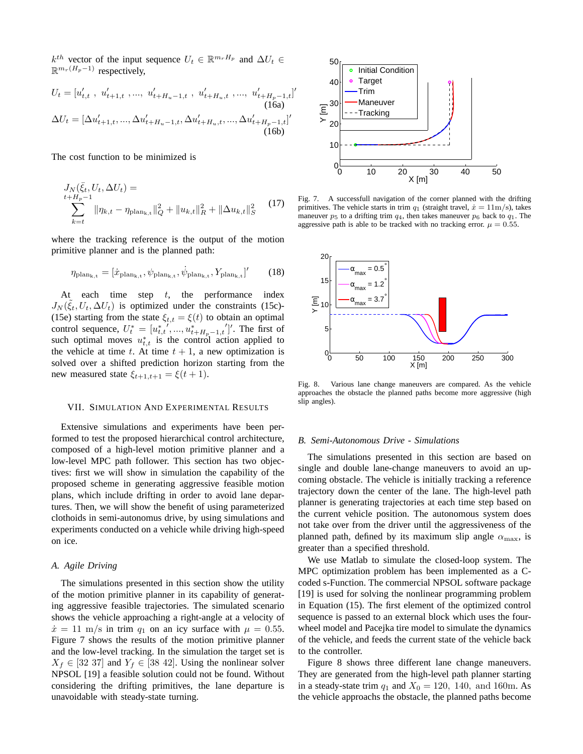$k^{th}$  vector of the input sequence  $U_t \in \mathbb{R}^{m_r H_p}$  and  $\Delta U_t \in$  $\mathbb{R}^{m_r(H_p-1)}$  respectively,

$$
U_t = [u'_{t,t}, u'_{t+1,t}, ..., u'_{t+H_u-1,t}, u'_{t+H_u,t}, ..., u'_{t+H_p-1,t}]
$$
\n(16a)  
\n
$$
\Delta U_t = [\Delta u'_{t+1,t}, ..., \Delta u'_{t+H_u-1,t}, \Delta u'_{t+H_u,t}, ..., \Delta u'_{t+H_p-1,t}]'
$$
\n(16b)

The cost function to be minimized is

$$
J_N(\bar{\xi}_t, U_t, \Delta U_t) =
$$
  

$$
\sum_{k=t}^{t+H_p-1} \|\eta_{k,t} - \eta_{\text{plan}_{k,t}}\|_Q^2 + \|u_{k,t}\|_R^2 + \|\Delta u_{k,t}\|_S^2
$$
 (17)

where the tracking reference is the output of the motion primitive planner and is the planned path:

$$
\eta_{\text{plan}_{k,t}} = [\dot{x}_{\text{plan}_{k,t}}, \psi_{\text{plan}_{k,t}}, \dot{\psi}_{\text{plan}_{k,t}}, Y_{\text{plan}_{k,t}}]'
$$
(18)

At each time step  $t$ , the performance index  $J_N(\tilde{\xi}_t, U_t, \Delta U_t)$  is optimized under the constraints (15c)-(15e) starting from the state  $\xi_{t,t} = \xi(t)$  to obtain an optimal control sequence,  $U_t^* = [u_{t,t}^*,..., u_{t+H_p-1,t}^*]'$ . The first of such optimal moves  $u_{t,t}^*$  is the control action applied to the vehicle at time t. At time  $t + 1$ , a new optimization is solved over a shifted prediction horizon starting from the new measured state  $\xi_{t+1,t+1} = \xi(t+1)$ .

#### VII. SIMULATION AND EXPERIMENTAL RESULTS

Extensive simulations and experiments have been performed to test the proposed hierarchical control architecture, composed of a high-level motion primitive planner and a low-level MPC path follower. This section has two objectives: first we will show in simulation the capability of the proposed scheme in generating aggressive feasible motion plans, which include drifting in order to avoid lane departures. Then, we will show the benefit of using parameterized clothoids in semi-autonomus drive, by using simulations and experiments conducted on a vehicle while driving high-speed on ice.

## *A. Agile Driving*

The simulations presented in this section show the utility of the motion primitive planner in its capability of generating aggressive feasible trajectories. The simulated scenario shows the vehicle approaching a right-angle at a velocity of  $\dot{x} = 11$  m/s in trim  $q_1$  on an icy surface with  $\mu = 0.55$ . Figure 7 shows the results of the motion primitive planner and the low-level tracking. In the simulation the target set is  $X_f \in [32\ 37]$  and  $Y_f \in [38\ 42]$ . Using the nonlinear solver NPSOL [19] a feasible solution could not be found. Without considering the drifting primitives, the lane departure is unavoidable with steady-state turning.



′

Fig. 7. A successfull navigation of the corner planned with the drifting primitives. The vehicle starts in trim  $q_1$  (straight travel,  $\dot{x} = 11 \text{m/s}$ ), takes maneuver  $p_5$  to a drifting trim  $q_4$ , then takes maneuver  $p_6$  back to  $q_1$ . The aggressive path is able to be tracked with no tracking error.  $\mu = 0.55$ .



Fig. 8. Various lane change maneuvers are compared. As the vehicle approaches the obstacle the planned paths become more aggressive (high slip angles).

#### *B. Semi-Autonomous Drive - Simulations*

The simulations presented in this section are based on single and double lane-change maneuvers to avoid an upcoming obstacle. The vehicle is initially tracking a reference trajectory down the center of the lane. The high-level path planner is generating trajectories at each time step based on the current vehicle position. The autonomous system does not take over from the driver until the aggressiveness of the planned path, defined by its maximum slip angle  $\alpha_{\text{max}}$ , is greater than a specified threshold.

We use Matlab to simulate the closed-loop system. The MPC optimization problem has been implemented as a Ccoded s-Function. The commercial NPSOL software package [19] is used for solving the nonlinear programming problem in Equation (15). The first element of the optimized control sequence is passed to an external block which uses the fourwheel model and Pacejka tire model to simulate the dynamics of the vehicle, and feeds the current state of the vehicle back to the controller.

Figure 8 shows three different lane change maneuvers. They are generated from the high-level path planner starting in a steady-state trim  $q_1$  and  $X_0 = 120$ , 140, and 160m. As the vehicle approachs the obstacle, the planned paths become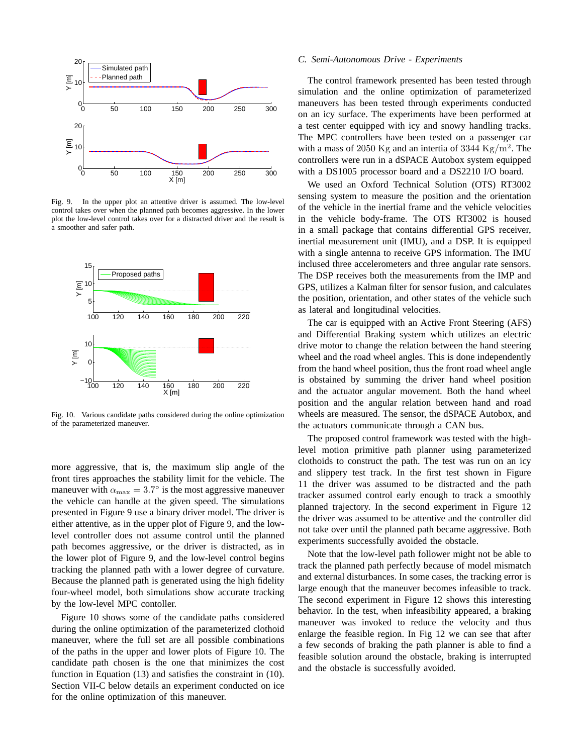

Fig. 9. In the upper plot an attentive driver is assumed. The low-level control takes over when the planned path becomes aggressive. In the lower plot the low-level control takes over for a distracted driver and the result is a smoother and safer path.



Fig. 10. Various candidate paths considered during the online optimization of the parameterized maneuver.

more aggressive, that is, the maximum slip angle of the front tires approaches the stability limit for the vehicle. The maneuver with  $\alpha_{\text{max}} = 3.7^{\circ}$  is the most aggressive maneuver the vehicle can handle at the given speed. The simulations presented in Figure 9 use a binary driver model. The driver is either attentive, as in the upper plot of Figure 9, and the lowlevel controller does not assume control until the planned path becomes aggressive, or the driver is distracted, as in the lower plot of Figure 9, and the low-level control begins tracking the planned path with a lower degree of curvature. Because the planned path is generated using the high fidelity four-wheel model, both simulations show accurate tracking by the low-level MPC contoller.

Figure 10 shows some of the candidate paths considered during the online optimization of the parameterized clothoid maneuver, where the full set are all possible combinations of the paths in the upper and lower plots of Figure 10. The candidate path chosen is the one that minimizes the cost function in Equation (13) and satisfies the constraint in (10). Section VII-C below details an experiment conducted on ice for the online optimization of this maneuver.

#### *C. Semi-Autonomous Drive - Experiments*

The control framework presented has been tested through simulation and the online optimization of parameterized maneuvers has been tested through experiments conducted on an icy surface. The experiments have been performed at a test center equipped with icy and snowy handling tracks. The MPC controllers have been tested on a passenger car with a mass of 2050 Kg and an intertia of 3344 Kg/m<sup>2</sup>. The controllers were run in a dSPACE Autobox system equipped with a DS1005 processor board and a DS2210 I/O board.

We used an Oxford Technical Solution (OTS) RT3002 sensing system to measure the position and the orientation of the vehicle in the inertial frame and the vehicle velocities in the vehicle body-frame. The OTS RT3002 is housed in a small package that contains differential GPS receiver, inertial measurement unit (IMU), and a DSP. It is equipped with a single antenna to receive GPS information. The IMU inclused three accelerometers and three angular rate sensors. The DSP receives both the measurements from the IMP and GPS, utilizes a Kalman filter for sensor fusion, and calculates the position, orientation, and other states of the vehicle such as lateral and longitudinal velocities.

The car is equipped with an Active Front Steering (AFS) and Differential Braking system which utilizes an electric drive motor to change the relation between the hand steering wheel and the road wheel angles. This is done independently from the hand wheel position, thus the front road wheel angle is obstained by summing the driver hand wheel position and the actuator angular movement. Both the hand wheel position and the angular relation between hand and road wheels are measured. The sensor, the dSPACE Autobox, and the actuators communicate through a CAN bus.

The proposed control framework was tested with the highlevel motion primitive path planner using parameterized clothoids to construct the path. The test was run on an icy and slippery test track. In the first test shown in Figure 11 the driver was assumed to be distracted and the path tracker assumed control early enough to track a smoothly planned trajectory. In the second experiment in Figure 12 the driver was assumed to be attentive and the controller did not take over until the planned path became aggressive. Both experiments successfully avoided the obstacle.

Note that the low-level path follower might not be able to track the planned path perfectly because of model mismatch and external disturbances. In some cases, the tracking error is large enough that the maneuver becomes infeasible to track. The second experiment in Figure 12 shows this interesting behavior. In the test, when infeasibility appeared, a braking maneuver was invoked to reduce the velocity and thus enlarge the feasible region. In Fig 12 we can see that after a few seconds of braking the path planner is able to find a feasible solution around the obstacle, braking is interrupted and the obstacle is successfully avoided.